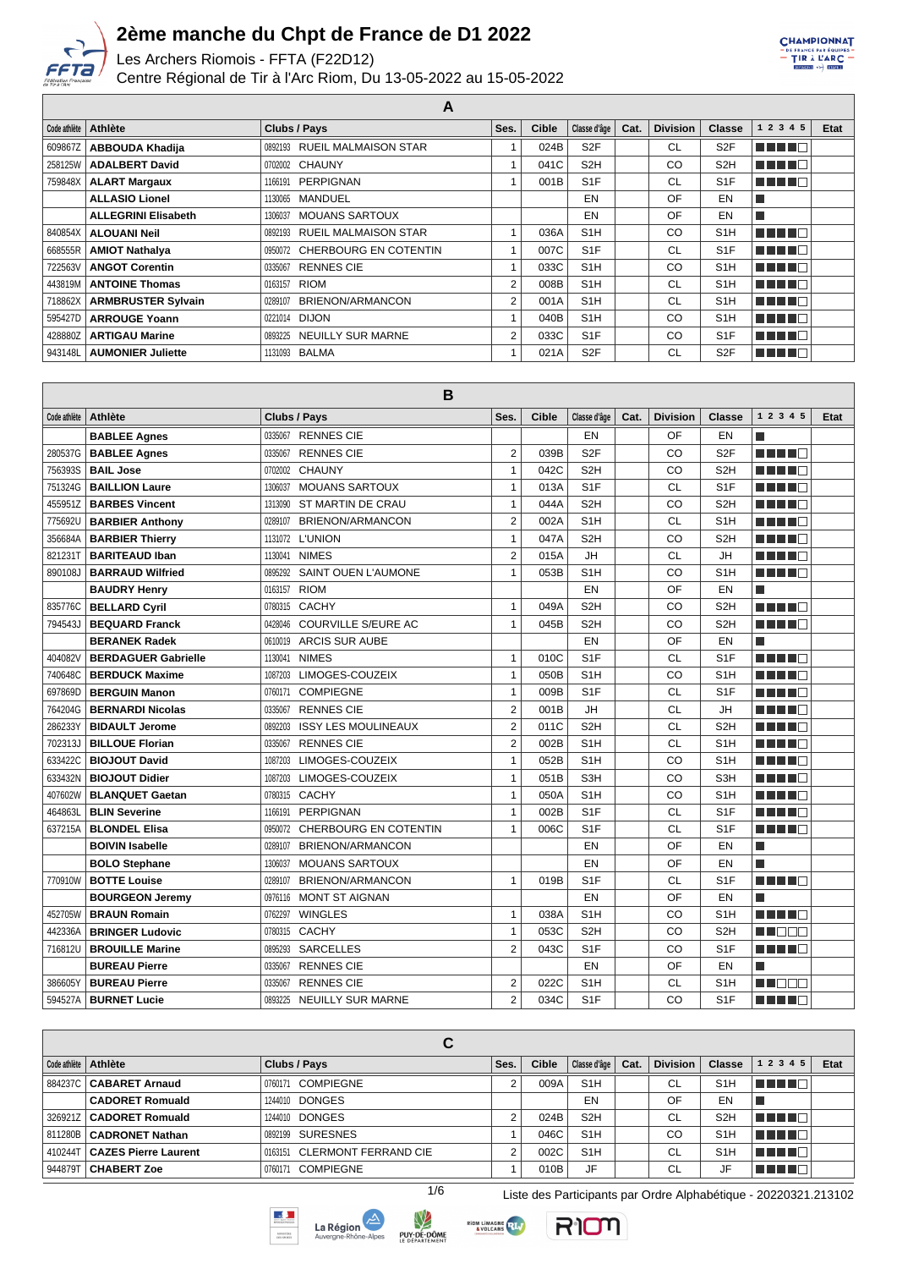

Les Archers Riomois - FFTA (F22D12)

Centre Régional de Tir à l'Arc Riom, Du 13-05-2022 au 15-05-2022



| А            |                            |                                     |      |              |                  |      |                 |                  |               |      |  |
|--------------|----------------------------|-------------------------------------|------|--------------|------------------|------|-----------------|------------------|---------------|------|--|
| Code athlète | <b>Athlète</b>             | Clubs / Pays                        | Ses. | <b>Cible</b> | Classe d'âge     | Cat. | <b>Division</b> | <b>Classe</b>    | 1 2 3 4 5     | Etat |  |
| 609867Z      | <b>ABBOUDA Khadija</b>     | 0892193 RUEIL MALMAISON STAR        |      | 024B         | S <sub>2F</sub>  |      | <b>CL</b>       | S <sub>2F</sub>  | TI TITO       |      |  |
| 258125W      | <b>ADALBERT David</b>      | 0702002 CHAUNY                      |      | 041C         | S <sub>2</sub> H |      | CO              | S <sub>2</sub> H | MA MARIT      |      |  |
| 759848X      | <b>ALART Margaux</b>       | PERPIGNAN<br>1166191                |      | 001B         | S <sub>1</sub> F |      | <b>CL</b>       | S <sub>1</sub> F | <u>man me</u> |      |  |
|              | <b>ALLASIO Lionel</b>      | MANDUEL<br>1130065                  |      |              | EN               |      | OF              | EN               |               |      |  |
|              | <b>ALLEGRINI Elisabeth</b> | <b>MOUANS SARTOUX</b><br>1306037    |      |              | EN               |      | OF              | EN               | П             |      |  |
| 840854X      | <b>ALOUANI Neil</b>        | 0892193 RUEIL MALMAISON STAR        |      | 036A         | S <sub>1</sub> H |      | CO              | S <sub>1</sub> H | n in Fin      |      |  |
| 668555R      | <b>AMIOT Nathalya</b>      | 0950072 CHERBOURG EN COTENTIN       |      | 007C         | S <sub>1</sub> F |      | <b>CL</b>       | S <sub>1</sub> F | n nin nin     |      |  |
| 722563V      | <b>ANGOT Corentin</b>      | <b>RENNES CIE</b><br>0335067        |      | 033C         | S <sub>1</sub> H |      | CO              | S <sub>1</sub> H | n nin n       |      |  |
| 443819M      | <b>ANTOINE Thomas</b>      | RIOM<br>0163157                     | 2    | 008B         | S <sub>1</sub> H |      | <b>CL</b>       | S <sub>1</sub> H | n din Film    |      |  |
| 718862X      | <b>ARMBRUSTER Sylvain</b>  | BRIENON/ARMANCON<br>0289107         | 2    | 001A         | S <sub>1</sub> H |      | <b>CL</b>       | S <sub>1</sub> H | T FIFIT FI    |      |  |
| 595427D      | <b>ARROUGE Yoann</b>       | 0221014 DIJON                       |      | 040B         | S <sub>1</sub> H |      | CO              | S <sub>1</sub> H | MA MAR        |      |  |
| 428880Z      | <b>ARTIGAU Marine</b>      | <b>NEUILLY SUR MARNE</b><br>0893225 | 2    | 033C         | S <sub>1</sub> F |      | CO              | S <sub>1</sub> F | n din Fin     |      |  |
| 943148L      | <b>AUMONIER Juliette</b>   | 1131093 BALMA                       |      | 021A         | S <sub>2</sub> F |      | <b>CL</b>       | S <sub>2F</sub>  | n nin n       |      |  |

| Code athlète | <b>Athlète</b>             | Clubs / Pays                          | Ses.           | Cible | Classe d'âge     | Cat. | <b>Division</b> | <b>Classe</b>    | 1 2 3 4 5                | Etat |  |  |  |
|--------------|----------------------------|---------------------------------------|----------------|-------|------------------|------|-----------------|------------------|--------------------------|------|--|--|--|
|              | <b>BABLEE Agnes</b>        | <b>RENNES CIE</b><br>0335067          |                |       | EN               |      | OF              | EN               | l.                       |      |  |  |  |
| 280537G      | <b>BABLEE Agnes</b>        | <b>RENNES CIE</b><br>0335067          | $\overline{2}$ | 039B  | S <sub>2F</sub>  |      | CO              | S <sub>2F</sub>  | n na ma                  |      |  |  |  |
| 756393S      | <b>BAIL Jose</b>           | <b>CHAUNY</b><br>0702002              | 1              | 042C  | S <sub>2</sub> H |      | CO              | S <sub>2</sub> H | MA MARIT                 |      |  |  |  |
| 751324G      | <b>BAILLION Laure</b>      | <b>MOUANS SARTOUX</b><br>1306037      | 1              | 013A  | S <sub>1</sub> F |      | CL              | S <sub>1F</sub>  | n na m                   |      |  |  |  |
| 455951Z      | <b>BARBES Vincent</b>      | 1313090 ST MARTIN DE CRAU             | 1              | 044A  | S <sub>2</sub> H |      | CO              | S <sub>2</sub> H | HH H                     |      |  |  |  |
| 775692U      | <b>BARBIER Anthony</b>     | <b>BRIENON/ARMANCON</b><br>0289107    | $\overline{2}$ | 002A  | S <sub>1</sub> H |      | <b>CL</b>       | S <sub>1</sub> H | n din n                  |      |  |  |  |
| 356684A      | <b>BARBIER Thierry</b>     | 1131072 L'UNION                       | 1              | 047A  | S <sub>2</sub> H |      | CO              | S <sub>2</sub> H | HILL I F                 |      |  |  |  |
| 821231T      | <b>BARITEAUD Iban</b>      | <b>NIMES</b><br>1130041               | $\overline{2}$ | 015A  | <b>JH</b>        |      | CL              | JH               | ma mata                  |      |  |  |  |
| 890108J      | <b>BARRAUD Wilfried</b>    | <b>SAINT OUEN L'AUMONE</b><br>0895292 | 1              | 053B  | S <sub>1</sub> H |      | CO              | S <sub>1</sub> H | MA MAR                   |      |  |  |  |
|              | <b>BAUDRY Henry</b>        | <b>RIOM</b><br>0163157                |                |       | EN               |      | OF              | EN               | П                        |      |  |  |  |
| 835776C      | <b>BELLARD Cyril</b>       | CACHY<br>0780315                      | $\mathbf{1}$   | 049A  | S <sub>2</sub> H |      | CO              | S <sub>2</sub> H | n na ma                  |      |  |  |  |
| 794543J      | <b>BEQUARD Franck</b>      | COURVILLE S/EURE AC<br>0428046        | $\mathbf{1}$   | 045B  | S <sub>2</sub> H |      | CO              | S <sub>2</sub> H | ma mata                  |      |  |  |  |
|              | <b>BERANEK Radek</b>       | <b>ARCIS SUR AUBE</b><br>0610019      |                |       | EN               |      | OF              | EN               | T.                       |      |  |  |  |
| 404082V      | <b>BERDAGUER Gabrielle</b> | <b>NIMES</b><br>1130041               | 1              | 010C  | S <sub>1F</sub>  |      | <b>CL</b>       | S <sub>1F</sub>  | ma mata                  |      |  |  |  |
| 740648C      | <b>BERDUCK Maxime</b>      | LIMOGES-COUZEIX<br>1087203            | 1              | 050B  | S <sub>1</sub> H |      | CO              | S <sub>1</sub> H | HH 18                    |      |  |  |  |
| 697869D      | <b>BERGUIN Manon</b>       | <b>COMPIEGNE</b><br>0760171           | 1              | 009B  | S <sub>1F</sub>  |      | <b>CL</b>       | S <sub>1F</sub>  | MA MAR                   |      |  |  |  |
| 764204G      | <b>BERNARDI Nicolas</b>    | <b>RENNES CIE</b><br>0335067          | $\overline{2}$ | 001B  | <b>JH</b>        |      | СL              | JH               | ma mata                  |      |  |  |  |
| 286233Y      | <b>BIDAULT Jerome</b>      | <b>ISSY LES MOULINEAUX</b><br>0892203 | $\overline{2}$ | 011C  | S <sub>2</sub> H |      | <b>CL</b>       | S <sub>2</sub> H | n in Fin                 |      |  |  |  |
| 702313J      | <b>BILLOUE Florian</b>     | <b>RENNES CIE</b><br>0335067          | $\overline{2}$ | 002B  | S <sub>1</sub> H |      | <b>CL</b>       | S <sub>1</sub> H | MA MARIT                 |      |  |  |  |
| 633422C      | <b>BIOJOUT David</b>       | LIMOGES-COUZEIX<br>1087203            | $\mathbf{1}$   | 052B  | S <sub>1</sub> H |      | CO              | S <sub>1</sub> H | n din B                  |      |  |  |  |
| 633432N      | <b>BIOJOUT Didier</b>      | LIMOGES-COUZEIX<br>1087203            | 1              | 051B  | S3H              |      | CO              | S <sub>3</sub> H | MA MAR                   |      |  |  |  |
| 407602W      | <b>BLANQUET Gaetan</b>     | CACHY<br>0780315                      | 1              | 050A  | S <sub>1</sub> H |      | CO              | S <sub>1</sub> H | n di Ting                |      |  |  |  |
| 464863L      | <b>BLIN Severine</b>       | <b>PERPIGNAN</b><br>1166191           | 1              | 002B  | S <sub>1</sub> F |      | <b>CL</b>       | S <sub>1F</sub>  | HILL I F                 |      |  |  |  |
| 637215A      | <b>BLONDEL Elisa</b>       | 0950072 CHERBOURG EN COTENTIN         | $\mathbf{1}$   | 006C  | S <sub>1</sub> F |      | СL              | S <sub>1</sub> F | n in Fil                 |      |  |  |  |
|              | <b>BOIVIN Isabelle</b>     | <b>BRIENON/ARMANCON</b><br>0289107    |                |       | EN               |      | OF              | EN               | $\overline{\phantom{a}}$ |      |  |  |  |
|              | <b>BOLO Stephane</b>       | <b>MOUANS SARTOUX</b><br>1306037      |                |       | EN               |      | OF              | EN               | $\overline{\phantom{a}}$ |      |  |  |  |
| 770910W      | <b>BOTTE Louise</b>        | 0289107<br><b>BRIENON/ARMANCON</b>    | 1              | 019B  | S <sub>1</sub> F |      | CL              | S <sub>1</sub> F | n na ma                  |      |  |  |  |
|              | <b>BOURGEON Jeremy</b>     | <b>MONT ST AIGNAN</b><br>0976116      |                |       | EN               |      | OF              | EN               | T.                       |      |  |  |  |
| 452705W      | <b>BRAUN Romain</b>        | <b>WINGLES</b><br>0762297             | $\mathbf{1}$   | 038A  | S <sub>1</sub> H |      | CO              | S <sub>1</sub> H | n na m                   |      |  |  |  |
| 442336A      | <b>BRINGER Ludovic</b>     | <b>CACHY</b><br>0780315               | 1              | 053C  | S <sub>2</sub> H |      | CO              | S <sub>2</sub> H | M DE S                   |      |  |  |  |
| 716812U      | <b>BROUILLE Marine</b>     | <b>SARCELLES</b><br>0895293           | $\overline{2}$ | 043C  | S <sub>1</sub> F |      | CO              | S <sub>1F</sub>  | n na m                   |      |  |  |  |
|              | <b>BUREAU Pierre</b>       | 0335067<br><b>RENNES CIE</b>          |                |       | EN               |      | OF              | EN               | F.                       |      |  |  |  |
| 386605Y      | <b>BUREAU Pierre</b>       | <b>RENNES CIE</b><br>0335067          | $\overline{2}$ | 022C  | S <sub>1</sub> H |      | <b>CL</b>       | S <sub>1</sub> H | MA BER                   |      |  |  |  |
|              | 594527A   BURNET Lucie     | 0893225 NEUILLY SUR MARNE             | $\overline{2}$ | 034C  | S <sub>1</sub> F |      | CO              | S <sub>1F</sub>  | MA MARIT                 |      |  |  |  |

|          |                              | С                            |      |              |                  |      |                 |                  |             |             |
|----------|------------------------------|------------------------------|------|--------------|------------------|------|-----------------|------------------|-------------|-------------|
|          | Code athlète   Athlète       | Clubs / Pays                 | Ses. | <b>Cible</b> | Classe d'âge     | Cat. | <b>Division</b> | <b>Classe</b>    | 1 2 3 4 5   | <b>Etat</b> |
| 884237CI | <b>CABARET Arnaud</b>        | 0760171 COMPIEGNE            |      | 009A         | S <sub>1</sub> H |      | CL              | S <sub>1</sub> H | n nin ni    |             |
|          | <b>CADORET Romuald</b>       | 1244010 DONGES               |      |              | EN               |      | OF              | EN               |             |             |
|          | 326921Z   CADORET Romuald    | 1244010 DONGES               | ◠    | 024B         | S <sub>2</sub> H |      | CL              | S <sub>2</sub> H | l Timor di  |             |
|          | 811280B   CADRONET Nathan    | 0892199 SURESNES             |      | 046C         | S <sub>1</sub> H |      | CO              | S <sub>1</sub> H | ' E E E E L |             |
| 410244T  | <b>CAZES Pierre Laurent</b>  | 0163151 CLERMONT FERRAND CIE | 2    | 002C         | S <sub>1</sub> H |      | CL              | S1H              | U U U U U   |             |
|          | 944879T <b>  CHABERT Zoe</b> | 0760171 COMPIEGNE            |      | 010B         | JF               |      | CL              | JF               | n an Daoi   |             |









1/6 Liste des Participants par Ordre Alphabétique - 20220321.213102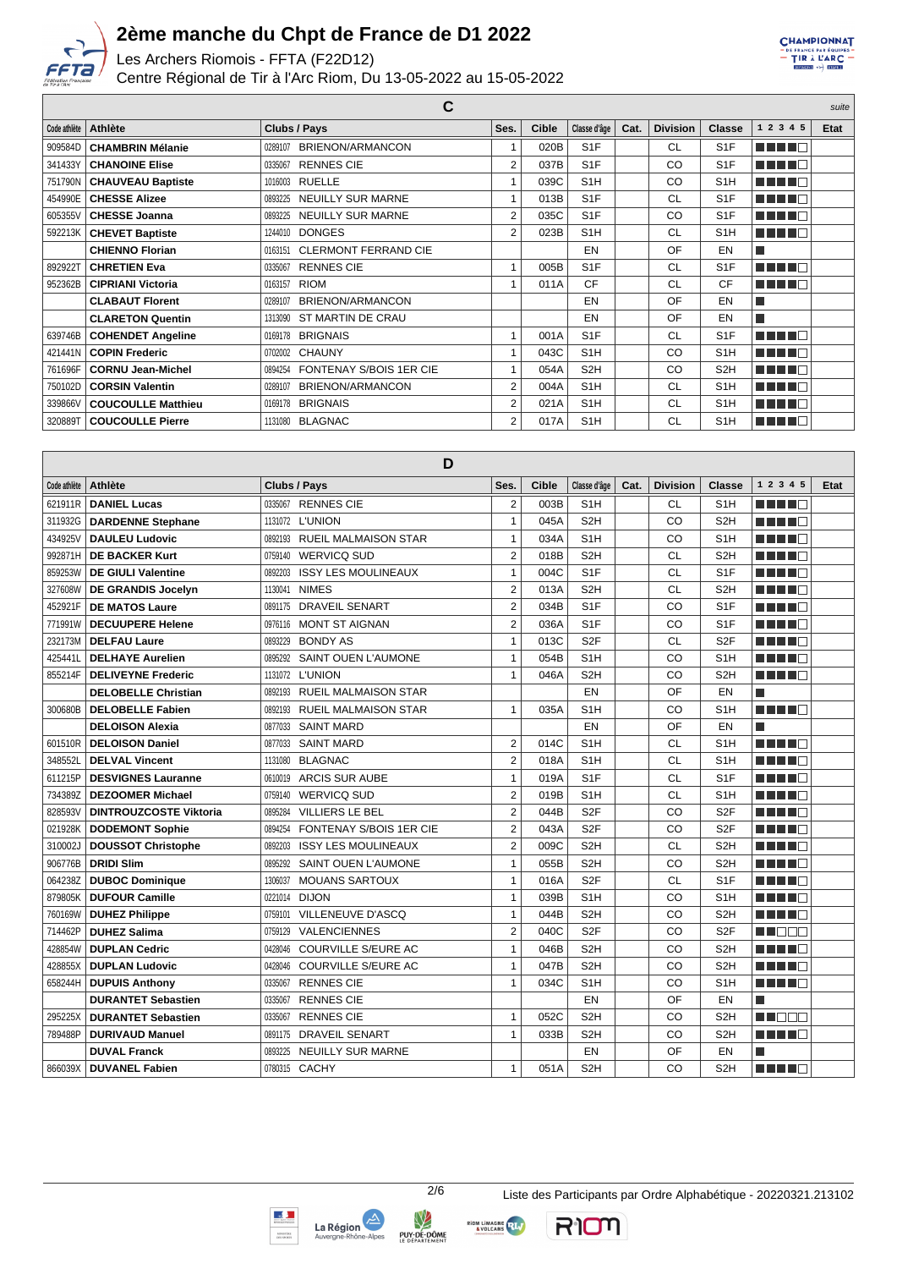

Les Archers Riomois - FFTA (F22D12)

Centre Régional de Tir à l'Arc Riom, Du 13-05-2022 au 15-05-2022

CHAMPIONNAT EXAMPLE PAR GOUPE

| С            |                           |                                           |                |              |                  |      |                 |                  |           | suite |
|--------------|---------------------------|-------------------------------------------|----------------|--------------|------------------|------|-----------------|------------------|-----------|-------|
| Code athlète | <b>Athlète</b>            | Clubs / Pays                              | Ses.           | <b>Cible</b> | Classe d'âge     | Cat. | <b>Division</b> | <b>Classe</b>    | 1 2 3 4 5 | Etat  |
| 909584D      | <b>CHAMBRIN Mélanie</b>   | <b>BRIENON/ARMANCON</b><br>0289107        | 1              | 020B         | S <sub>1</sub> F |      | <b>CL</b>       | S <sub>1</sub> F | ma mata   |       |
| 341433Y      | <b>CHANOINE Elise</b>     | <b>RENNES CIE</b><br>0335067              | $\overline{2}$ | 037B         | S <sub>1</sub> F |      | CO              | S <sub>1</sub> F | ma mata   |       |
| 751790N      | <b>CHAUVEAU Baptiste</b>  | <b>RUELLE</b><br>1016003                  |                | 039C         | S <sub>1</sub> H |      | CO              | S <sub>1</sub> H | n din Fil |       |
| 454990E      | <b>CHESSE Alizee</b>      | <b>NEUILLY SUR MARNE</b><br>0893225       | 1              | 013B         | S <sub>1</sub> F |      | <b>CL</b>       | S <sub>1</sub> F | MA NA T   |       |
| 605355V      | <b>CHESSE Joanna</b>      | <b>NEUILLY SUR MARNE</b><br>0893225       | 2              | 035C         | S <sub>1</sub> F |      | CO              | S <sub>1</sub> F | a da birn |       |
| 592213K      | <b>CHEVET Baptiste</b>    | <b>DONGES</b><br>1244010                  | 2              | 023B         | S <sub>1</sub> H |      | <b>CL</b>       | S <sub>1</sub> H | ma mata   |       |
|              | <b>CHIENNO Florian</b>    | <b>CLERMONT FERRAND CIE</b><br>0163151    |                |              | EN               |      | OF              | EN               |           |       |
| 892922T      | <b>CHRETIEN Eva</b>       | <b>RENNES CIE</b><br>0335067              | 1              | 005B         | S <sub>1</sub> F |      | <b>CL</b>       | S <sub>1</sub> F | n din Fin |       |
| 952362B      | <b>CIPRIANI Victoria</b>  | <b>RIOM</b><br>0163157                    | $\mathbf{1}$   | 011A         | CF               |      | <b>CL</b>       | CF               | a da bin  |       |
|              | <b>CLABAUT Florent</b>    | BRIENON/ARMANCON<br>0289107               |                |              | EN               |      | OF              | EN               |           |       |
|              | <b>CLARETON Quentin</b>   | ST MARTIN DE CRAU<br>1313090              |                |              | EN               |      | OF              | EN               |           |       |
| 639746B      | <b>COHENDET Angeline</b>  | <b>BRIGNAIS</b><br>0169178                | 1              | 001A         | S <sub>1</sub> F |      | <b>CL</b>       | S <sub>1</sub> F | n din Fin |       |
| 421441N      | <b>COPIN Frederic</b>     | 0702002 CHAUNY                            |                | 043C         | S <sub>1</sub> H |      | CO              | S <sub>1</sub> H | ma mata   |       |
| 761696F      | <b>CORNU Jean-Michel</b>  | <b>FONTENAY S/BOIS 1ER CIE</b><br>0894254 |                | 054A         | S <sub>2</sub> H |      | CO              | S <sub>2</sub> H | MA MARIT  |       |
| 750102D      | <b>CORSIN Valentin</b>    | BRIENON/ARMANCON<br>0289107               | $\overline{2}$ | 004A         | S <sub>1</sub> H |      | <b>CL</b>       | S <sub>1</sub> H | n din Fin |       |
| 339866V      | <b>COUCOULLE Matthieu</b> | <b>BRIGNAIS</b><br>0169178                | $\overline{2}$ | 021A         | S <sub>1</sub> H |      | <b>CL</b>       | S <sub>1</sub> H | MA MARIT  |       |
| 320889T      | <b>COUCOULLE Pierre</b>   | <b>BLAGNAC</b><br>1131080                 | 2              | 017A         | S <sub>1</sub> H |      | <b>CL</b>       | S <sub>1</sub> H | a da birn |       |

| D            |                               |                                           |                |              |                  |      |                 |                  |                          |      |  |  |
|--------------|-------------------------------|-------------------------------------------|----------------|--------------|------------------|------|-----------------|------------------|--------------------------|------|--|--|
| Code athlète | <b>Athlète</b>                | Clubs / Pays                              | Ses.           | <b>Cible</b> | Classe d'âge     | Cat. | <b>Division</b> | Classe           | 1 2 3 4 5                | Etat |  |  |
| 621911R      | <b>DANIEL Lucas</b>           | <b>RENNES CIE</b><br>0335067              | $\overline{2}$ | 003B         | S <sub>1</sub> H |      | <b>CL</b>       | S <sub>1</sub> H | n din Fin                |      |  |  |
| 311932G      | <b>DARDENNE Stephane</b>      | <b>L'UNION</b><br>1131072                 | $\mathbf{1}$   | 045A         | S <sub>2</sub> H |      | CO              | S <sub>2</sub> H | ma mata                  |      |  |  |
| 434925\      | <b>DAULEU Ludovic</b>         | <b>RUEIL MALMAISON STAR</b><br>0892193    | $\mathbf{1}$   | 034A         | S <sub>1</sub> H |      | CO              | S <sub>1</sub> H | n din Fin                |      |  |  |
| 992871H      | <b>DE BACKER Kurt</b>         | <b>WERVICQ SUD</b><br>0759140             | $\overline{2}$ | 018B         | S <sub>2</sub> H |      | <b>CL</b>       | S <sub>2</sub> H | ma mata                  |      |  |  |
| 859253W      | <b>DE GIULI Valentine</b>     | <b>ISSY LES MOULINEAUX</b><br>0892203     | $\mathbf{1}$   | 004C         | S <sub>1F</sub>  |      | <b>CL</b>       | S <sub>1</sub> F | a da bir                 |      |  |  |
| 327608W      | DE GRANDIS Jocelyn            | <b>NIMES</b><br>1130041                   | $\overline{2}$ | 013A         | S <sub>2</sub> H |      | <b>CL</b>       | S <sub>2H</sub>  | a da birn                |      |  |  |
| 452921F      | <b>DE MATOS Laure</b>         | <b>DRAVEIL SENART</b><br>0891175          | $\overline{2}$ | 034B         | S <sub>1</sub> F |      | CO              | S <sub>1</sub> F | MA MAR                   |      |  |  |
| 771991W      | <b>DECUUPERE Helene</b>       | <b>MONT ST AIGNAN</b><br>0976116          | $\overline{2}$ | 036A         | S <sub>1</sub> F |      | CO              | S <sub>1</sub> F | a da bar                 |      |  |  |
| 232173M      | <b>DELFAU Laure</b>           | <b>BONDY AS</b><br>0893229                | $\mathbf{1}$   | 013C         | S <sub>2F</sub>  |      | <b>CL</b>       | S <sub>2F</sub>  | n din bir                |      |  |  |
| 425441L      | <b>DELHAYE Aurelien</b>       | <b>SAINT OUEN L'AUMONE</b><br>0895292     | $\mathbf{1}$   | 054B         | S <sub>1</sub> H |      | CO              | S <sub>1</sub> H | n di Ting                |      |  |  |
| 855214F      | <b>DELIVEYNE Frederic</b>     | <b>L'UNION</b><br>1131072                 | 1              | 046A         | S <sub>2</sub> H |      | CO              | S <sub>2</sub> H | n din Fin                |      |  |  |
|              | <b>DELOBELLE Christian</b>    | <b>RUEIL MALMAISON STAR</b><br>0892193    |                |              | EN               |      | OF              | EN               | $\overline{\phantom{a}}$ |      |  |  |
| 300680B      | <b>DELOBELLE Fabien</b>       | <b>RUEIL MALMAISON STAR</b><br>0892193    | $\mathbf{1}$   | 035A         | S <sub>1</sub> H |      | CO              | S <sub>1</sub> H | n din Fin                |      |  |  |
|              | <b>DELOISON Alexia</b>        | <b>SAINT MARD</b><br>0877033              |                |              | EN               |      | OF              | EN               | $\overline{\phantom{a}}$ |      |  |  |
| 601510R      | <b>DELOISON Daniel</b>        | <b>SAINT MARD</b><br>0877033              | $\overline{2}$ | 014C         | S <sub>1</sub> H |      | CL              | S <sub>1</sub> H | an a sa                  |      |  |  |
| 348552L      | <b>DELVAL Vincent</b>         | <b>BLAGNAC</b><br>1131080                 | $\overline{2}$ | 018A         | S <sub>1</sub> H |      | CL              | S <sub>1</sub> H | n din bin                |      |  |  |
| 611215P      | <b>DESVIGNES Lauranne</b>     | <b>ARCIS SUR AUBE</b><br>0610019          | 1              | 019A         | S <sub>1</sub> F |      | <b>CL</b>       | S <sub>1</sub> F | n din Fin                |      |  |  |
| 734389Z      | <b>DEZOOMER Michael</b>       | 0759140 WERVICQ SUD                       | $\overline{2}$ | 019B         | S <sub>1</sub> H |      | <b>CL</b>       | S <sub>1</sub> H | n din ka                 |      |  |  |
| 828593V      | <b>DINTROUZCOSTE Viktoria</b> | <b>VILLIERS LE BEL</b><br>0895284         | $\overline{2}$ | 044B         | S <sub>2F</sub>  |      | CO              | S <sub>2F</sub>  | M M M M M                |      |  |  |
| 021928K      | <b>DODEMONT Sophie</b>        | <b>FONTENAY S/BOIS 1ER CIE</b><br>0894254 | $\overline{2}$ | 043A         | S <sub>2F</sub>  |      | CO              | S <sub>2F</sub>  | n in Film                |      |  |  |
| 310002       | <b>DOUSSOT Christophe</b>     | <b>ISSY LES MOULINEAUX</b><br>0892203     | $\overline{2}$ | 009C         | S <sub>2</sub> H |      | <b>CL</b>       | S <sub>2H</sub>  | n din bir                |      |  |  |
| 906776B      | <b>DRIDI Slim</b>             | <b>SAINT OUEN L'AUMONE</b><br>0895292     | $\mathbf{1}$   | 055B         | S <sub>2</sub> H |      | CO              | S <sub>2H</sub>  | m in Film                |      |  |  |
| 064238Z      | <b>DUBOC Dominique</b>        | <b>MOUANS SARTOUX</b><br>1306037          | $\mathbf{1}$   | 016A         | S <sub>2F</sub>  |      | <b>CL</b>       | S <sub>1</sub> F | n din Fin                |      |  |  |
| 879805K      | <b>DUFOUR Camille</b>         | 0221014 DIJON                             | $\mathbf{1}$   | 039B         | S <sub>1</sub> H |      | CO              | S <sub>1</sub> H | ma mata                  |      |  |  |
| 760169W      | <b>DUHEZ Philippe</b>         | <b>VILLENEUVE D'ASCQ</b><br>0759101       | $\mathbf{1}$   | 044B         | S <sub>2</sub> H |      | CO              | S <sub>2H</sub>  | n din bir                |      |  |  |
| 714462P      | <b>DUHEZ Salima</b>           | <b>VALENCIENNES</b><br>0759129            | $\overline{2}$ | 040C         | S <sub>2F</sub>  |      | CO              | S <sub>2F</sub>  | M DE S                   |      |  |  |
| 428854W      | <b>DUPLAN Cedric</b>          | <b>COURVILLE S/EURE AC</b><br>0428046     | $\mathbf{1}$   | 046B         | S <sub>2</sub> H |      | CO              | S <sub>2H</sub>  | n din Fin                |      |  |  |
| 428855X      | <b>DUPLAN Ludovic</b>         | <b>COURVILLE S/EURE AC</b><br>0428046     | $\mathbf{1}$   | 047B         | S <sub>2</sub> H |      | CO              | S <sub>2H</sub>  | THE LE                   |      |  |  |
| 658244H      | <b>DUPUIS Anthony</b>         | <b>RENNES CIE</b><br>0335067              | 1              | 034C         | S <sub>1</sub> H |      | CO              | S <sub>1</sub> H |                          |      |  |  |
|              | <b>DURANTET Sebastien</b>     | <b>RENNES CIE</b><br>0335067              |                |              | EN               |      | OF              | EN               | $\mathbb{R}^2$           |      |  |  |
| 295225X      | <b>DURANTET Sebastien</b>     | <b>RENNES CIE</b><br>0335067              | $\mathbf{1}$   | 052C         | S <sub>2</sub> H |      | CO              | S <sub>2H</sub>  | <b>REDEE</b>             |      |  |  |
| 789488P      | <b>DURIVAUD Manuel</b>        | 0891175 DRAVEIL SENART                    | $\mathbf{1}$   | 033B         | S <sub>2</sub> H |      | CO              | S <sub>2</sub> H | MA MAR                   |      |  |  |
|              | <b>DUVAL Franck</b>           | <b>NEUILLY SUR MARNE</b><br>0893225       |                |              | EN               |      | OF              | EN               | $\mathbb{R}^2$           |      |  |  |
| 866039X      | <b>DUVANEL Fabien</b>         | 0780315 CACHY                             | 1              | 051A         | S <sub>2</sub> H |      | CO              | S <sub>2</sub> H | MA MA                    |      |  |  |





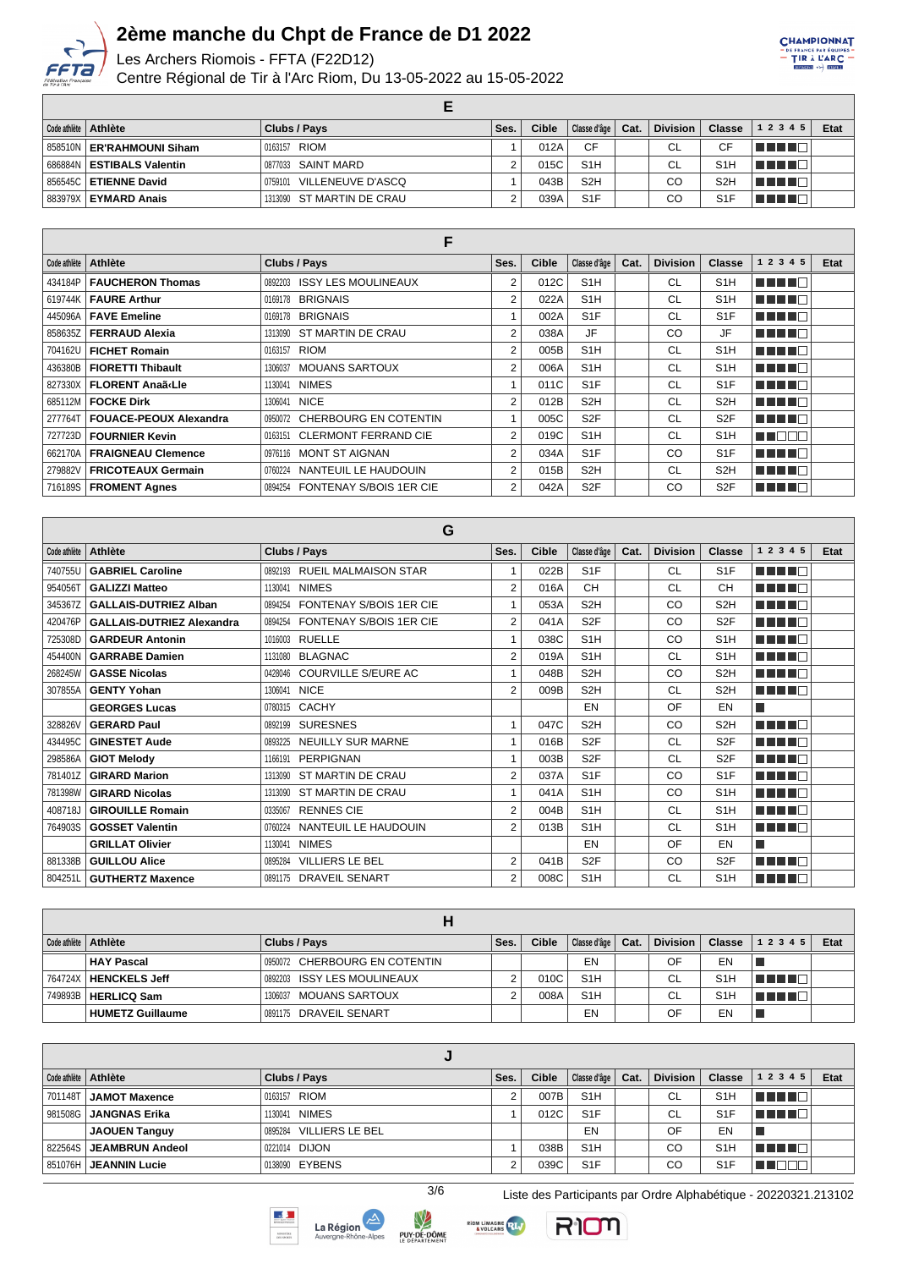

# 2ème manche du Chpt de France de D1 2022<br>Les Archers Riomois - FFTA (F22D12)

Centre Régional de Tir à l'Arc Riom, Du 13-05-2022 au 15-05-2022

|  | Code athlète   Athlète        | Clubs / Pays                 | Ses. | Cible | Classe d'âge   Cat. | Division | <b>Classe</b>    | 12345       | Etat |
|--|-------------------------------|------------------------------|------|-------|---------------------|----------|------------------|-------------|------|
|  | 858510N   ER'RAHMOUNI Siham   | 0163157 RIOM                 |      | 012A  | CF                  | CL       | СF               | l San San T |      |
|  | ∣ 686884N I ESTIBALS Valentin | 0877033 SAINT MARD           |      | 015C  | S <sub>1</sub> H    | CL       | S <sub>1</sub> H | l Timor I   |      |
|  | 856545C <b>ETIENNE David</b>  | VILLENEUVE D'ASCQ<br>0759101 |      | 043B  | S <sub>2</sub> H    | CО       | S <sub>2</sub> H | TE EL       |      |
|  | 883979X   EYMARD Anais        | 1313090 ST MARTIN DE CRAU    |      | 039A  | S <sub>1</sub> F    | CО       | S <sub>1</sub> F | TI FIT      |      |

| E            |                               |                                    |                |              |                  |      |                 |                  |               |      |  |  |
|--------------|-------------------------------|------------------------------------|----------------|--------------|------------------|------|-----------------|------------------|---------------|------|--|--|
| Code athlète | <b>Athlète</b>                | Clubs / Pays                       | Ses.           | <b>Cible</b> | Classe d'âge     | Cat. | <b>Division</b> | <b>Classe</b>    | 1 2 3 4 5     | Etat |  |  |
| 434184P      | <b>FAUCHERON Thomas</b>       | 0892203 ISSY LES MOULINEAUX        | 2              | 012C         | S <sub>1</sub> H |      | CL              | S <sub>1</sub> H | MA MARIT      |      |  |  |
|              | 619744K   FAURE Arthur        | <b>BRIGNAIS</b><br>0169178         | $\overline{2}$ | 022A         | S <sub>1</sub> H |      | <b>CL</b>       | S <sub>1</sub> H | MA MARIT      |      |  |  |
|              | 445096A   FAVE Emeline        | <b>BRIGNAIS</b><br>0169178         |                | 002A         | S <sub>1</sub> F |      | <b>CL</b>       | S <sub>1</sub> F | MA MARI       |      |  |  |
|              | 858635Z   FERRAUD Alexia      | 1313090 ST MARTIN DE CRAU          | 2              | 038A         | JF               |      | CO              | JF               | MA MARI       |      |  |  |
| 704162U      | <b>FICHET Romain</b>          | <b>RIOM</b><br>0163157             | $\overline{2}$ | 005B         | S <sub>1</sub> H |      | CL              | S <sub>1</sub> H | MA NA T       |      |  |  |
| 436380BI     | <b>FIORETTI Thibault</b>      | <b>MOUANS SARTOUX</b><br>1306037   | 2              | 006A         | S <sub>1</sub> H |      | <b>CL</b>       | S <sub>1</sub> H | n na mata     |      |  |  |
|              | 827330X   FLORENT Anaã«Lie    | <b>NIMES</b><br>1130041            |                | 011C         | S <sub>1</sub> F |      | CL              | S <sub>1</sub> F | ma mata       |      |  |  |
|              | 685112M   FOCKE Dirk          | <b>NICE</b><br>1306041             | 2              | 012B         | S <sub>2</sub> H |      | <b>CL</b>       | S <sub>2</sub> H | ma mata       |      |  |  |
| 277764T      | <b>FOUACE-PEOUX Alexandra</b> | 0950072 CHERBOURG EN COTENTIN      |                | 005C         | S <sub>2F</sub>  |      | <b>CL</b>       | S <sub>2</sub> F | MA MARI       |      |  |  |
| 727723D      | <b>FOURNIER Kevin</b>         | 0163151 CLERMONT FERRAND CIE       | 2              | 019C         | S <sub>1</sub> H |      | <b>CL</b>       | S <sub>1</sub> H | <b>READER</b> |      |  |  |
|              | 662170A   FRAIGNEAU Clemence  | 0976116 MONT ST AIGNAN             | $\overline{2}$ | 034A         | S <sub>1</sub> F |      | CO              | S <sub>1</sub> F | ma mata       |      |  |  |
| 279882V      | <b>FRICOTEAUX Germain</b>     | NANTEUIL LE HAUDOUIN<br>0760224    | $\overline{2}$ | 015B         | S <sub>2</sub> H |      | CL              | S <sub>2</sub> H | M MINIT       |      |  |  |
|              | 716189S   FROMENT Agnes       | FONTENAY S/BOIS 1ER CIE<br>0894254 | 2              | 042A         | S <sub>2F</sub>  |      | CO              | S <sub>2</sub> F | MA MAR        |      |  |  |

| G            |                                  |                                           |                |       |                  |      |                 |                  |                |      |  |  |
|--------------|----------------------------------|-------------------------------------------|----------------|-------|------------------|------|-----------------|------------------|----------------|------|--|--|
| Code athlète | Athlète                          | Clubs / Pays                              | Ses.           | Cible | Classe d'âge     | Cat. | <b>Division</b> | Classe           | 1 2 3 4 5      | Etat |  |  |
| 740755U      | <b>GABRIEL Caroline</b>          | 0892193 RUEIL MALMAISON STAR              |                | 022B  | S <sub>1</sub> F |      | <b>CL</b>       | S <sub>1</sub> F | n di Tinggi    |      |  |  |
| 954056T      | <b>GALIZZI Matteo</b>            | <b>NIMES</b><br>1130041                   | $\overline{2}$ | 016A  | CH               |      | <b>CL</b>       | <b>CH</b>        | ma mata        |      |  |  |
| 345367Z      | <b>GALLAIS-DUTRIEZ Alban</b>     | <b>FONTENAY S/BOIS 1ER CIE</b><br>0894254 |                | 053A  | S <sub>2</sub> H |      | CO              | S <sub>2</sub> H | a sa san Tin   |      |  |  |
| 420476P      | <b>GALLAIS-DUTRIEZ Alexandra</b> | <b>FONTENAY S/BOIS 1ER CIE</b><br>0894254 | 2              | 041A  | S <sub>2F</sub>  |      | CO              | S <sub>2</sub> F | n din din      |      |  |  |
| 725308D      | <b>GARDEUR Antonin</b>           | <b>RUELLE</b><br>1016003                  |                | 038C  | S <sub>1</sub> H |      | CO              | S <sub>1</sub> H | <u>Hillin</u>  |      |  |  |
| 454400N      | <b>GARRABE Damien</b>            | <b>BLAGNAC</b><br>1131080                 | $\overline{2}$ | 019A  | S <sub>1</sub> H |      | <b>CL</b>       | S <sub>1</sub> H | n de la T      |      |  |  |
| 268245W      | <b>GASSE Nicolas</b>             | COURVILLE S/EURE AC<br>0428046            |                | 048B  | S <sub>2</sub> H |      | CO              | S <sub>2H</sub>  | ma mata        |      |  |  |
| 307855A      | <b>GENTY Yohan</b>               | <b>NICE</b><br>1306041                    | $\overline{2}$ | 009B  | S <sub>2</sub> H |      | <b>CL</b>       | S <sub>2</sub> H | n din bir      |      |  |  |
|              | <b>GEORGES Lucas</b>             | 0780315 CACHY                             |                |       | EN               |      | OF              | EN               | l.             |      |  |  |
| 328826V      | <b>GERARD Paul</b>               | <b>SURESNES</b><br>0892199                |                | 047C  | S <sub>2</sub> H |      | CO              | S <sub>2</sub> H | n din na       |      |  |  |
| 434495C      | <b>GINESTET Aude</b>             | <b>NEUILLY SUR MARNE</b><br>0893225       |                | 016B  | S <sub>2F</sub>  |      | <b>CL</b>       | S <sub>2F</sub>  | MA MAT         |      |  |  |
| 298586A      | <b>GIOT Melody</b>               | <b>PERPIGNAN</b><br>1166191               |                | 003B  | S <sub>2</sub> F |      | <b>CL</b>       | S <sub>2F</sub>  | n din din s    |      |  |  |
| 781401Z      | <b>GIRARD Marion</b>             | ST MARTIN DE CRAU<br>1313090              | $\overline{2}$ | 037A  | S <sub>1</sub> F |      | CO              | S <sub>1</sub> F | n din din s    |      |  |  |
| 781398W      | <b>GIRARD Nicolas</b>            | ST MARTIN DE CRAU<br>1313090              |                | 041A  | S <sub>1</sub> H |      | CO              | S <sub>1</sub> H | n din bir      |      |  |  |
| 408718J      | <b>GIROUILLE Romain</b>          | <b>RENNES CIE</b><br>0335067              | $\overline{2}$ | 004B  | S <sub>1</sub> H |      | <b>CL</b>       | S <sub>1</sub> H | n din pr       |      |  |  |
| 764903S      | <b>GOSSET Valentin</b>           | NANTEUIL LE HAUDOUIN<br>0760224           | 2              | 013B  | S <sub>1</sub> H |      | <b>CL</b>       | S <sub>1</sub> H | n din Fin      |      |  |  |
|              | <b>GRILLAT Olivier</b>           | <b>NIMES</b><br>1130041                   |                |       | EN               |      | OF              | EN               | $\mathbb{R}^2$ |      |  |  |
| 881338B      | <b>GUILLOU Alice</b>             | <b>VILLIERS LE BEL</b><br>0895284         | 2              | 041B  | S <sub>2</sub> F |      | CO              | S <sub>2</sub> F | n na mata      |      |  |  |
| 804251L      | <b>GUTHERTZ Maxence</b>          | <b>DRAVEIL SENART</b><br>0891175          | $\overline{2}$ | 008C  | S <sub>1</sub> H |      | CL              | S <sub>1</sub> H | n din bir      |      |  |  |

|         | Code athlète   Athlète  | Clubs / Pays                     | Ses. | Cible | Classe d'âge     | Cat. | <b>Division</b> | <b>Classe</b>    | 1 2 3 4 5 | <b>Etat</b> |  |  |
|---------|-------------------------|----------------------------------|------|-------|------------------|------|-----------------|------------------|-----------|-------------|--|--|
|         | HAY Pascal              | 0950072 CHERBOURG EN COTENTIN    |      |       | EN               |      | OF              | EN               |           |             |  |  |
|         | 764724X   HENCKELS Jeff | 0892203 ISSY LES MOULINEAUX      |      | 010C  | S <sub>1</sub> H |      | СL              | S <sub>1</sub> H | A WINDI   |             |  |  |
| 749893B | <b>HERLICQ Sam</b>      | <b>MOUANS SARTOUX</b><br>1306037 |      | 008A  | S <sub>1</sub> H |      | СL              | S1               | T TITLE   |             |  |  |
|         | <b>HUMETZ Guillaume</b> | 0891175 DRAVEIL SENART           |      |       | EN               |      | OF              | EN               |           |             |  |  |

|         | Code athlète   Athlète | Clubs / Pays            | Ses. | Cible | Classe d'âge     | Cat. | <b>Division</b> | <b>Classe</b>    | 1 2 3 4 5 | Etat |  |
|---------|------------------------|-------------------------|------|-------|------------------|------|-----------------|------------------|-----------|------|--|
| 701148T | JAMOT Maxence          | 0163157 RIOM            |      | 007B  | S <sub>1</sub> H |      | <b>CL</b>       | S <sub>1</sub> H | 4 H N     |      |  |
| 981508G | JANGNAS Erika          | 1130041 NIMES           |      | 012C  | S <sub>1</sub> F |      | <b>CL</b>       | S <sub>1</sub> F | HE IT     |      |  |
|         | <b>JAOUEN Tanguy</b>   | 0895284 VILLIERS LE BEL |      |       | EN               |      | OF              | EN               |           |      |  |
| 822564S | JEAMBRUN Andeol        | 0221014 DIJON           |      | 038B  | S <sub>1</sub> H |      | CO              | S <sub>1</sub> H |           |      |  |
| 851076H | JEANNIN Lucie          | 0138090 EYBENS          |      | 039C  | S <sub>1</sub> F |      | CO              | S <sub>1</sub> F |           |      |  |

 $\overline{3/6}$ 











CHAMPIONNAT E FRANCE PAR ÉQUIPE

Liste des Participants par Ordre Alphabétique - 20220321.213102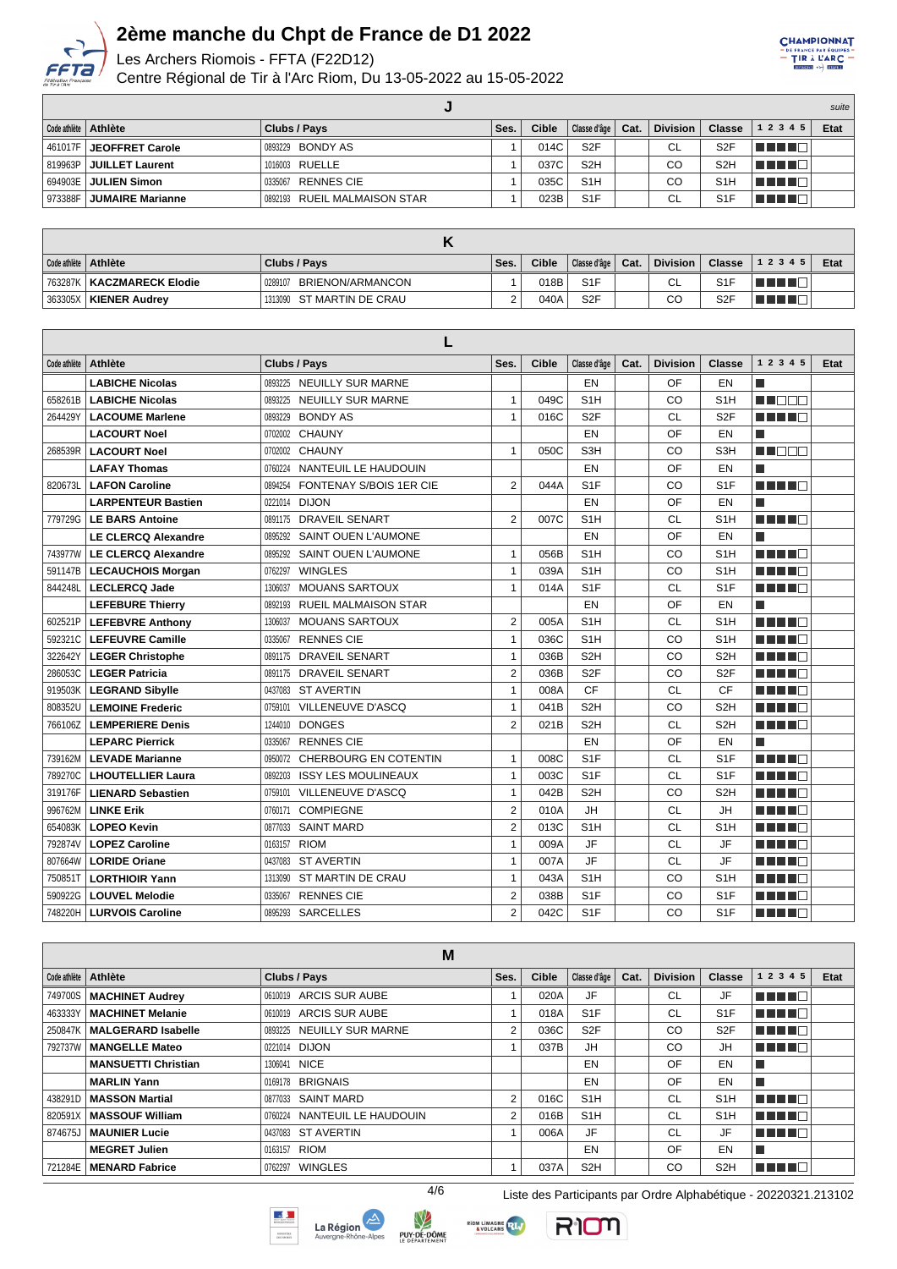

Les Archers Riomois - FFTA (F22D12)

Centre Régional de Tir à l'Arc Riom, Du 13-05-2022 au 15-05-2022

|                                  |                               |      |       |                  |      |                 |                  |           | suite |
|----------------------------------|-------------------------------|------|-------|------------------|------|-----------------|------------------|-----------|-------|
| Code athlète   Athlète           | Clubs / Pays                  | Ses. | Cible | Classe d'âge     | Cat. | <b>Division</b> | <b>Classe</b>    | 1 2 3 4 5 | Etat  |
| 461017F <b>  JEOFFRET Carole</b> | <sup>1</sup> 0893229 BONDY AS |      | 014C  | S <sub>2</sub> F |      | CL              | S <sub>2</sub> F | T E E E   |       |
| 819963P JUILLET Laurent          | 1016003 RUELLE                |      | 037C  | S <sub>2</sub> H |      | CO              | S <sub>2</sub> H | TE ELEC   |       |
| 694903E   <b>JULIEN Simon</b>    | 0335067 RENNES CIE            |      | 035C  | S <sub>1</sub> H |      | CO              | S <sub>1</sub> H | THE LIFE  |       |
| 973388F JUMAIRE Marianne         | 0892193 RUEIL MALMAISON STAR  |      | 023B  | S <sub>1</sub> F |      | CL              | S <sub>1</sub> F | TE E E    |       |

| Code athlète   Athlète        | Clubs / Pays                | Ses. | Cible | Classe d'âge   Cat. | <b>Division</b> |                  | <b>Classe</b> $ 12345$ | Etat |
|-------------------------------|-----------------------------|------|-------|---------------------|-----------------|------------------|------------------------|------|
| , 763287K   KACZMARECK Elodie | BRIENON/ARMANCON<br>0289107 |      | 018B  | S <sub>1</sub> F    | ◡∟              | S <sub>1</sub> F | TELET                  |      |
| 363305X   KIENER Audrey       | 1313090 ST MARTIN DE CRAU   |      | 040A  | S <sub>2F</sub>     | CО              | S <sub>2F</sub>  |                        |      |

| Code athlète | Athlète                    | Clubs / Pays |                                | Ses.           | <b>Cible</b> | Classe d'âge     | Cat. | <b>Division</b> | <b>Classe</b>    | 1 2 3 4 5                | Etat |
|--------------|----------------------------|--------------|--------------------------------|----------------|--------------|------------------|------|-----------------|------------------|--------------------------|------|
|              | <b>LABICHE Nicolas</b>     |              | 0893225 NEUILLY SUR MARNE      |                |              | EN               |      | OF              | EN               | П                        |      |
| 658261B      | <b>LABICHE Nicolas</b>     | 0893225      | <b>NEUILLY SUR MARNE</b>       | $\mathbf{1}$   | 049C         | S <sub>1</sub> H |      | CO              | S <sub>1</sub> H | MA TITI T                |      |
| 264429Y      | <b>LACOUME Marlene</b>     | 0893229      | <b>BONDY AS</b>                | $\mathbf{1}$   | 016C         | S <sub>2F</sub>  |      | <b>CL</b>       | S <sub>2F</sub>  | ma mata                  |      |
|              | <b>LACOURT Noel</b>        | 0702002      | <b>CHAUNY</b>                  |                |              | EN               |      | OF              | EN               | П                        |      |
| 268539R      | <b>LACOURT Noel</b>        | 0702002      | <b>CHAUNY</b>                  | $\mathbf{1}$   | 050C         | S3H              |      | CO              | S <sub>3H</sub>  | MA DE O                  |      |
|              | <b>LAFAY Thomas</b>        | 0760224      | NANTEUIL LE HAUDOUIN           |                |              | EN               |      | OF              | EN               | П                        |      |
| 820673L      | <b>LAFON Caroline</b>      | 0894254      | <b>FONTENAY S/BOIS 1ER CIE</b> | $\overline{2}$ | 044A         | S <sub>1</sub> F |      | CO              | S <sub>1</sub> F | n Timba                  |      |
|              | <b>LARPENTEUR Bastien</b>  | 0221014      | <b>DIJON</b>                   |                |              | EN               |      | OF              | EN               | l.                       |      |
| 779729G      | <b>LE BARS Antoine</b>     | 0891175      | <b>DRAVEIL SENART</b>          | $\overline{2}$ | 007C         | S <sub>1</sub> H |      | <b>CL</b>       | S <sub>1</sub> H | MA MAR                   |      |
|              | <b>LE CLERCQ Alexandre</b> | 0895292      | <b>SAINT OUEN L'AUMONE</b>     |                |              | EN               |      | OF              | EN               | $\overline{\phantom{a}}$ |      |
| 743977W      | <b>LE CLERCQ Alexandre</b> | 0895292      | SAINT OUEN L'AUMONE            | $\mathbf{1}$   | 056B         | S <sub>1</sub> H |      | CO              | S <sub>1</sub> H | n na ma                  |      |
| 591147B      | <b>LECAUCHOIS Morgan</b>   | 0762297      | <b>WINGLES</b>                 | $\mathbf{1}$   | 039A         | S <sub>1</sub> H |      | CO              | S <sub>1</sub> H | n Ting                   |      |
| 844248L      | <b>LECLERCQ Jade</b>       | 1306037      | <b>MOUANS SARTOUX</b>          | $\mathbf{1}$   | 014A         | S <sub>1</sub> F |      | <b>CL</b>       | S <sub>1</sub> F | n din bin                |      |
|              | <b>LEFEBURE Thierry</b>    | 0892193      | <b>RUEIL MALMAISON STAR</b>    |                |              | EN               |      | OF              | EN               | $\overline{\phantom{a}}$ |      |
| 602521P      | <b>LEFEBVRE Anthony</b>    | 1306037      | <b>MOUANS SARTOUX</b>          | $\overline{2}$ | 005A         | S <sub>1</sub> H |      | <b>CL</b>       | S <sub>1</sub> H | n na m                   |      |
| 592321C      | <b>LEFEUVRE Camille</b>    | 0335067      | <b>RENNES CIE</b>              | $\mathbf{1}$   | 036C         | S <sub>1</sub> H |      | CO              | S <sub>1</sub> H | n na m                   |      |
| 322642Y      | <b>LEGER Christophe</b>    | 0891175      | <b>DRAVEIL SENART</b>          | $\mathbf{1}$   | 036B         | S <sub>2</sub> H |      | CO              | S <sub>2H</sub>  | n din bin                |      |
| 286053C      | <b>LEGER Patricia</b>      | 0891175      | <b>DRAVEIL SENART</b>          | $\overline{2}$ | 036B         | S <sub>2F</sub>  |      | CO              | S <sub>2F</sub>  | HH H                     |      |
| 919503K      | <b>LEGRAND Sibylle</b>     | 0437083      | <b>ST AVERTIN</b>              | $\mathbf{1}$   | 008A         | CF               |      | <b>CL</b>       | <b>CF</b>        | n na ma                  |      |
| 808352L      | <b>LEMOINE Frederic</b>    | 0759101      | <b>VILLENEUVE D'ASCQ</b>       | $\mathbf{1}$   | 041B         | S <sub>2</sub> H |      | CO              | S <sub>2</sub> H | MA MAR                   |      |
| 766106Z      | <b>LEMPERIERE Denis</b>    | 1244010      | <b>DONGES</b>                  | $\overline{2}$ | 021B         | S <sub>2</sub> H |      | <b>CL</b>       | S <sub>2</sub> H | ma mata                  |      |
|              | <b>LEPARC Pierrick</b>     | 0335067      | <b>RENNES CIE</b>              |                |              | EN               |      | OF              | EN               | П                        |      |
| 739162M      | <b>LEVADE Marianne</b>     | 0950072      | <b>CHERBOURG EN COTENTIN</b>   | $\mathbf{1}$   | 008C         | S <sub>1</sub> F |      | <b>CL</b>       | S <sub>1</sub> F | T FIFTIN T               |      |
| 789270C      | <b>LHOUTELLIER Laura</b>   | 0892203      | <b>ISSY LES MOULINEAUX</b>     | $\mathbf{1}$   | 003C         | S <sub>1</sub> F |      | <b>CL</b>       | S <sub>1</sub> F | TITI TITI                |      |
| 319176F      | <b>LIENARD Sebastien</b>   | 0759101      | VILLENEUVE D'ASCQ              | $\mathbf{1}$   | 042B         | S <sub>2</sub> H |      | CO              | S <sub>2</sub> H | n na m                   |      |
| 996762M      | <b>LINKE Erik</b>          | 0760171      | <b>COMPIEGNE</b>               | $\overline{2}$ | 010A         | <b>JH</b>        |      | <b>CL</b>       | <b>JH</b>        | MA NG PINA               |      |
| 654083K      | <b>LOPEO Kevin</b>         | 0877033      | <b>SAINT MARD</b>              | $\overline{2}$ | 013C         | S <sub>1</sub> H |      | <b>CL</b>       | S <sub>1</sub> H | ma mata                  |      |
| 792874V      | <b>LOPEZ Caroline</b>      | 0163157      | <b>RIOM</b>                    | $\mathbf{1}$   | 009A         | <b>JF</b>        |      | <b>CL</b>       | <b>JF</b>        | n na m                   |      |
| 807664W      | <b>LORIDE Oriane</b>       | 0437083      | <b>ST AVERTIN</b>              | $\mathbf{1}$   | 007A         | <b>JF</b>        |      | <b>CL</b>       | <b>JF</b>        | n na me                  |      |
| 7508511      | <b>LORTHIOIR Yann</b>      | 1313090      | ST MARTIN DE CRAU              | $\mathbf{1}$   | 043A         | S <sub>1</sub> H |      | CO              | S <sub>1</sub> H | M TIMA                   |      |
| 590922G      | <b>LOUVEL Melodie</b>      | 0335067      | <b>RENNES CIE</b>              | $\overline{2}$ | 038B         | S <sub>1</sub> F |      | CO              | S <sub>1</sub> F | n din bir                |      |
| 748220H      | <b>LURVOIS Caroline</b>    | 0895293      | <b>SARCELLES</b>               | $\overline{2}$ | 042C         | S <sub>1</sub> F |      | CO              | S <sub>1F</sub>  | n din Fin                |      |

|              |                            | M                               |      |       |                  |      |                 |                  |              |      |
|--------------|----------------------------|---------------------------------|------|-------|------------------|------|-----------------|------------------|--------------|------|
| Code athlète | Athlète                    | Clubs / Pays                    | Ses. | Cible | Classe d'âge     | Cat. | <b>Division</b> | Classe           | 1 2 3 4 5    | Etat |
| 749700S      | <b>MACHINET Audrey</b>     | 0610019 ARCIS SUR AUBE          |      | 020A  | JF               |      | CL              | JF               | n din bin    |      |
| 463333Y      | <b>MACHINET Melanie</b>    | 0610019 ARCIS SUR AUBE          |      | 018A  | S <sub>1</sub> F |      | <b>CL</b>       | S <sub>1</sub> F | MA MAR       |      |
| 250847K      | <b>MALGERARD Isabelle</b>  | 0893225 NEUILLY SUR MARNE       | 2    | 036C  | S <sub>2F</sub>  |      | CO              | S <sub>2</sub> F | n na mata    |      |
| 792737W      | <b>MANGELLE Mateo</b>      | 0221014 DIJON                   |      | 037B  | JH               |      | CO              | JH               | n na m       |      |
|              | <b>MANSUETTI Christian</b> | 1306041 NICE                    |      |       | EN               |      | OF              | EN               |              |      |
|              | <b>MARLIN Yann</b>         | 0169178 BRIGNAIS                |      |       | EN               |      | OF              | EN               |              |      |
| 438291D      | <b>MASSON Martial</b>      | 0877033 SAINT MARD              | 2    | 016C  | S <sub>1</sub> H |      | СL              | S <sub>1</sub> H | n din ne     |      |
| 820591X      | <b>MASSOUF William</b>     | NANTEUIL LE HAUDOUIN<br>0760224 | 2    | 016B  | S <sub>1</sub> H |      | <b>CL</b>       | S <sub>1</sub> H | n na m       |      |
| 874675J      | <b>MAUNIER Lucie</b>       | 0437083 ST AVERTIN              |      | 006A  | JF               |      | <b>CL</b>       | JF               | n na m       |      |
|              | <b>MEGRET Julien</b>       | 0163157 RIOM                    |      |       | EN               |      | OF              | EN               |              |      |
| 721284E      | <b>MENARD Fabrice</b>      | 0762297 WINGLES                 |      | 037A  | S <sub>2</sub> H |      | CO              | S <sub>2</sub> H | <b>THEFL</b> |      |











CHAMPIONNAT DE FRANCE PAR ÉQUIPE

4/6 Liste des Participants par Ordre Alphabétique - 20220321.213102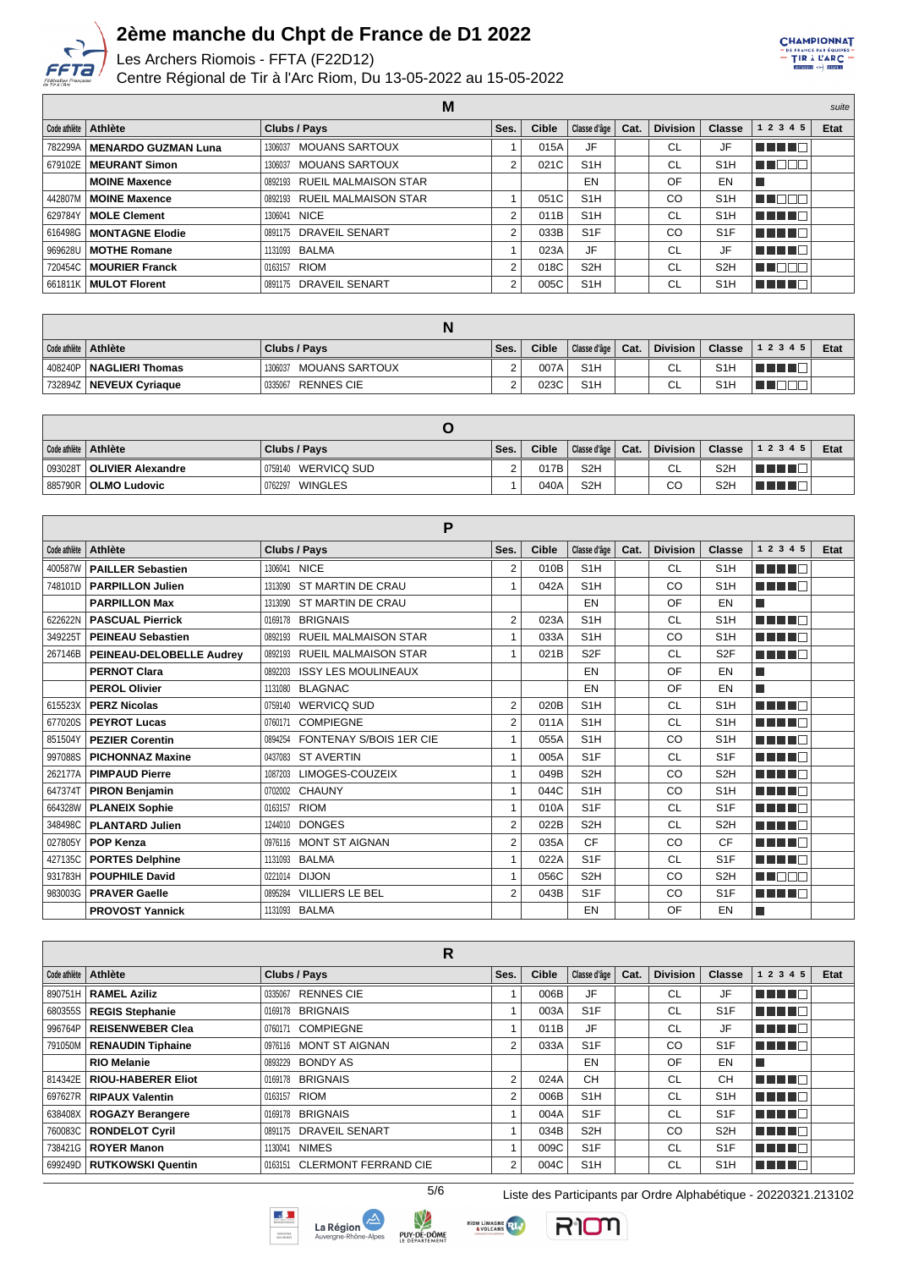

Les Archers Riomois - FFTA (F22D12)

Centre Régional de Tir à l'Arc Riom, Du 13-05-2022 au 15-05-2022

CHAMPIONNAT 

|                               | M                         |      |       |                     |           |               |           | suite |
|-------------------------------|---------------------------|------|-------|---------------------|-----------|---------------|-----------|-------|
| Code athlète   Athlète        | Clubs / Pays              | Ses. | Cible | Classe d'âge   Cat. | Division  | <b>Classe</b> | 1 2 3 4 5 | Etat  |
| 782299A   MENARDO GUZMAN Luna | 1306037 MOUANS SARTOUX    |      | 015A  | JF                  | <b>CL</b> |               |           |       |
| 679102E   MEURANT Simon       | MOUANS SARTOUX<br>1306037 |      | 021C  | S1H                 | <b>CL</b> | S1H           |           |       |

| 782299AI | MENARDO GUZMAN Luna       | <b>MOUANS SARTOUX</b><br>1306037 |   | 015A | JF               | <b>CL</b> | JF               | TELEC    |
|----------|---------------------------|----------------------------------|---|------|------------------|-----------|------------------|----------|
| 679102E  | MEURANT Simon             | <b>MOUANS SARTOUX</b><br>1306037 | ◠ | 021C | S <sub>1</sub> H | СL        | S <sub>1</sub> H |          |
|          | <b>MOINE Maxence</b>      | 0892193 RUEIL MALMAISON STAR     |   |      | EN               | OF        | EN               |          |
|          | 442807M   MOINE Maxence   | 0892193 RUEIL MALMAISON STAR     |   | 051C | S <sub>1</sub> H | CO        | S <sub>1</sub> H |          |
|          | 629784Y   MOLE Clement    | 1306041 NICE                     |   | 011B | S <sub>1</sub> H | СL        | S <sub>1</sub> H | TE E E E |
|          | 616498G   MONTAGNE Elodie | 0891175 DRAVEIL SENART           | ◠ | 033B | S <sub>1</sub> F | CO        | S <sub>1</sub> F | TELEL    |
|          | 969628U   MOTHE Romane    | 1131093 BALMA                    |   | 023A | JF               | CL        | JF               | TE E E   |
|          | 720454C   MOURIER Franck  | 0163157 RIOM                     |   | 018C | S <sub>2</sub> H | СL        | S <sub>2</sub> H |          |
|          | 661811K   MULOT Florent   | <b>DRAVEIL SENART</b><br>0891175 |   | 005C | S <sub>1</sub> H | CL        | S <sub>1</sub> H | TE E E E |

| Code athlète   Athlète |                           | Clubs / Pays                 | Ses. | Cible | Classe d'âge   Cat. | <b>Division</b> | <b>Classe</b>    | 1 2 3 4 5 | Etat |
|------------------------|---------------------------|------------------------------|------|-------|---------------------|-----------------|------------------|-----------|------|
|                        | 408240P   NAGLIERI Thomas | MOUANS SARTOUX<br>1306037    |      | 007A  | S <sub>1</sub> H    | СL              | S <sub>1</sub> H | T FIFT    |      |
|                        | 732894Z   NEVEUX Cyriaque | <b>RENNES CIE</b><br>0335067 |      | 023C  | S <sub>1</sub> H    | СL              | S1               |           |      |

| Code athlète   Athlète |                          | Clubs / Pays         | Ses. | Cible | Classe d'âge   Cat. | <b>Division</b> | <b>Classe</b>    | 1 2 3 4 5 | Etat |
|------------------------|--------------------------|----------------------|------|-------|---------------------|-----------------|------------------|-----------|------|
| 093028T                | <b>OLIVIER Alexandre</b> | 10759140 WERVICQ SUD |      | 017B  | S <sub>2</sub> H    | СL              | S <sub>2</sub> H | THE EI    |      |
|                        |                          | WINGLES<br>0762297   |      | 040A  | S <sub>2</sub> H    | CО              | S <sub>2</sub> H | a mas     |      |

|              |                                 |         | P                              |                |       |                  |      |                 |                  |             |      |
|--------------|---------------------------------|---------|--------------------------------|----------------|-------|------------------|------|-----------------|------------------|-------------|------|
| Code athlète | <b>Athlète</b>                  |         | Clubs / Pays                   | Ses.           | Cible | Classe d'âge     | Cat. | <b>Division</b> | Classe           | 1 2 3 4 5   | Etat |
| 400587W      | <b>PAILLER Sebastien</b>        |         | 1306041 NICE                   | 2              | 010B  | S <sub>1</sub> H |      | <b>CL</b>       | S <sub>1</sub> H | n di Tinggi |      |
| 748101D      | <b>PARPILLON Julien</b>         | 1313090 | ST MARTIN DE CRAU              | 1              | 042A  | S <sub>1</sub> H |      | CO              | S <sub>1</sub> H | a shekara   |      |
|              | <b>PARPILLON Max</b>            | 1313090 | ST MARTIN DE CRAU              |                |       | EN               |      | OF              | EN               | П           |      |
| 622622N      | <b>PASCUAL Pierrick</b>         | 0169178 | <b>BRIGNAIS</b>                | $\overline{2}$ | 023A  | S <sub>1</sub> H |      | <b>CL</b>       | S <sub>1</sub> H | n na man    |      |
| 3492257      | <b>PEINEAU Sebastien</b>        | 0892193 | <b>RUEIL MALMAISON STAR</b>    | 1              | 033A  | S <sub>1</sub> H |      | CO              | S <sub>1</sub> H | n din Fin   |      |
| 267146B      | <b>PEINEAU-DELOBELLE Audrey</b> | 0892193 | <b>RUEIL MALMAISON STAR</b>    | 1              | 021B  | S <sub>2F</sub>  |      | <b>CL</b>       | S <sub>2F</sub>  | n din bir   |      |
|              | <b>PERNOT Clara</b>             | 0892203 | <b>ISSY LES MOULINEAUX</b>     |                |       | <b>EN</b>        |      | OF              | EN               | T.          |      |
|              | <b>PEROL Olivier</b>            | 1131080 | <b>BLAGNAC</b>                 |                |       | EN               |      | OF              | EN               | П           |      |
| 615523X      | <b>PERZ Nicolas</b>             |         | 0759140 WERVICQ SUD            | $\overline{2}$ | 020B  | S <sub>1</sub> H |      | <b>CL</b>       | S <sub>1</sub> H | n din bir   |      |
| 677020S      | <b>PEYROT Lucas</b>             | 0760171 | <b>COMPIEGNE</b>               | $\overline{2}$ | 011A  | S <sub>1</sub> H |      | <b>CL</b>       | S <sub>1</sub> H | n din n     |      |
| 851504Y      | <b>PEZIER Corentin</b>          | 0894254 | <b>FONTENAY S/BOIS 1ER CIE</b> | 1              | 055A  | S <sub>1</sub> H |      | CO              | S <sub>1</sub> H | n din Fin   |      |
| 997088S      | <b>PICHONNAZ Maxine</b>         | 0437083 | <b>ST AVERTIN</b>              | 1              | 005A  | S <sub>1</sub> F |      | <b>CL</b>       | S <sub>1</sub> F | n din Fin   |      |
| 262177A      | <b>PIMPAUD Pierre</b>           | 1087203 | LIMOGES-COUZEIX                | 1              | 049B  | S <sub>2</sub> H |      | CO              | S <sub>2</sub> H | n din bir   |      |
| 647374T      | <b>PIRON Benjamin</b>           |         | 0702002 CHAUNY                 | 1              | 044C  | S <sub>1</sub> H |      | CO              | S <sub>1</sub> H | n din bir   |      |
| 664328W      | <b>PLANEIX Sophie</b>           | 0163157 | <b>RIOM</b>                    | 1              | 010A  | S <sub>1</sub> F |      | <b>CL</b>       | S <sub>1</sub> F | n din Fin   |      |
| 348498C      | <b>PLANTARD Julien</b>          |         | 1244010 DONGES                 | $\overline{2}$ | 022B  | S <sub>2</sub> H |      | <b>CL</b>       | S <sub>2H</sub>  | n na m      |      |
| 027805Y      | <b>POP Kenza</b>                |         | 0976116 MONT ST AIGNAN         | 2              | 035A  | CF               |      | CO              | <b>CF</b>        | n din Fin   |      |
| 427135C      | <b>PORTES Delphine</b>          | 1131093 | <b>BALMA</b>                   | 1              | 022A  | S <sub>1</sub> F |      | <b>CL</b>       | S <sub>1</sub> F | n din ka    |      |
| 931783H      | <b>POUPHILE David</b>           |         | 0221014 DIJON                  | $\mathbf{1}$   | 056C  | S <sub>2</sub> H |      | CO              | S <sub>2</sub> H | M B B B     |      |
| 983003G      | <b>PRAVER Gaelle</b>            | 0895284 | <b>VILLIERS LE BEL</b>         | $\overline{2}$ | 043B  | S <sub>1</sub> F |      | CO              | S <sub>1F</sub>  | n din bir   |      |
|              | <b>PROVOST Yannick</b>          |         | 1131093 BALMA                  |                |       | <b>EN</b>        |      | OF              | EN               | П           |      |

|              |                             | R                            |                |       |                  |      |                 |                  |           |      |
|--------------|-----------------------------|------------------------------|----------------|-------|------------------|------|-----------------|------------------|-----------|------|
| Code athlète | Athlète                     | Clubs / Pays                 | Ses.           | Cible | Classe d'âge     | Cat. | <b>Division</b> | Classe           | 1 2 3 4 5 | Etat |
|              | 890751H   RAMEL Aziliz      | <b>RENNES CIE</b><br>0335067 |                | 006B  | JF               |      | CL              | JF               | n din Fin |      |
|              | 680355S   REGIS Stephanie   | <b>BRIGNAIS</b><br>0169178   |                | 003A  | S <sub>1</sub> F |      | <b>CL</b>       | S <sub>1</sub> F | ma mata   |      |
|              | 996764P   REISENWEBER Clea  | <b>COMPIEGNE</b><br>0760171  |                | 011B  | JF               |      | <b>CL</b>       | JF               | ma mata   |      |
|              | 791050M   RENAUDIN Tiphaine | 0976116 MONT ST AIGNAN       | 2              | 033A  | S <sub>1</sub> F |      | CO              | S <sub>1</sub> F | MA MTO    |      |
|              | <b>RIO Melanie</b>          | <b>BONDY AS</b><br>0893229   |                |       | EN               |      | OF              | EN               |           |      |
| 814342E      | <b>RIOU-HABERER Eliot</b>   | 0169178 BRIGNAIS             | $\overline{2}$ | 024A  | CH               |      | <b>CL</b>       | CH               | n din Fin |      |
| 697627R      | <b>RIPAUX Valentin</b>      | <b>RIOM</b><br>0163157       | 2              | 006B  | S <sub>1</sub> H |      | CL              | S <sub>1</sub> H | n din Fin |      |
|              | 638408X   ROGAZY Berangere  | <b>BRIGNAIS</b><br>0169178   |                | 004A  | S <sub>1</sub> F |      | CL              | S <sub>1</sub> F | MA MARIT  |      |
|              | 760083C   RONDELOT Cyril    | DRAVEIL SENART<br>0891175    |                | 034B  | S <sub>2</sub> H |      | CO              | S <sub>2</sub> H | MA MAR    |      |
|              | 738421G   ROYER Manon       | <b>NIMES</b><br>1130041      |                | 009C  | S <sub>1</sub> F |      | CL              | S <sub>1</sub> F | n din Fin |      |
|              | 699249D   RUTKOWSKI Quentin | 0163151 CLERMONT FERRAND CIE | 2              | 004C  | S <sub>1</sub> H |      | <b>CL</b>       | S <sub>1</sub> H | 'n man a  |      |









RIOM